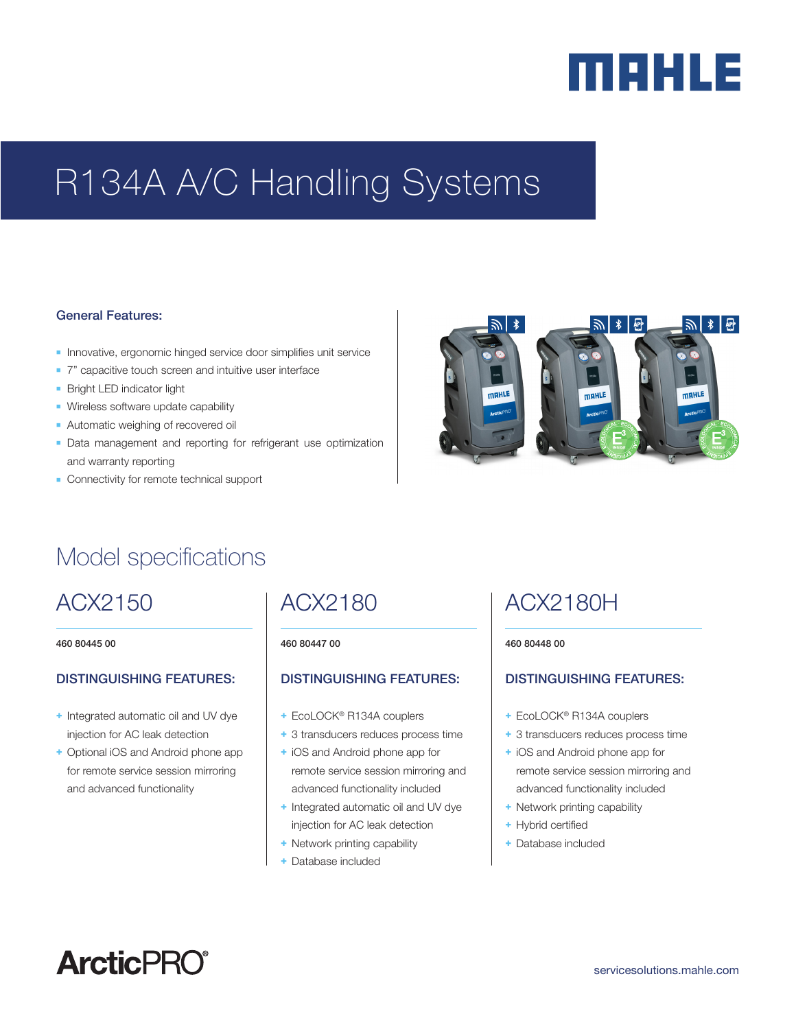# merus

## R134A A/C Handling Systems

#### General Features:

- **n** Innovative, ergonomic hinged service door simplifies unit service
- 7" capacitive touch screen and intuitive user interface
- **Bright LED indicator light**
- **Nireless software update capability**
- **Automatic weighing of recovered oil**
- **-** Data management and reporting for refrigerant use optimization and warranty reporting
- **-** Connectivity for remote technical support



## Model specifications

## ACX2150

460 80445 00

#### DISTINGUISHING FEATURES:

- + Integrated automatic oil and UV dye injection for AC leak detection
- + Optional iOS and Android phone app for remote service session mirroring and advanced functionality

### ACX2180

#### 460 80447 00

#### DISTINGUISHING FEATURES:

- + EcoLOCK® R134A couplers
- + 3 transducers reduces process time
- + iOS and Android phone app for remote service session mirroring and advanced functionality included
- + Integrated automatic oil and UV dye injection for AC leak detection
- + Network printing capability
- Database included

## ACX2180H

#### 460 80448 00

#### DISTINGUISHING FEATURES:

- + EcoLOCK® R134A couplers
- + 3 transducers reduces process time
- + iOS and Android phone app for remote service session mirroring and advanced functionality included
- + Network printing capability
- + Hybrid certified
- + Database included

## **ArcticPRO®**